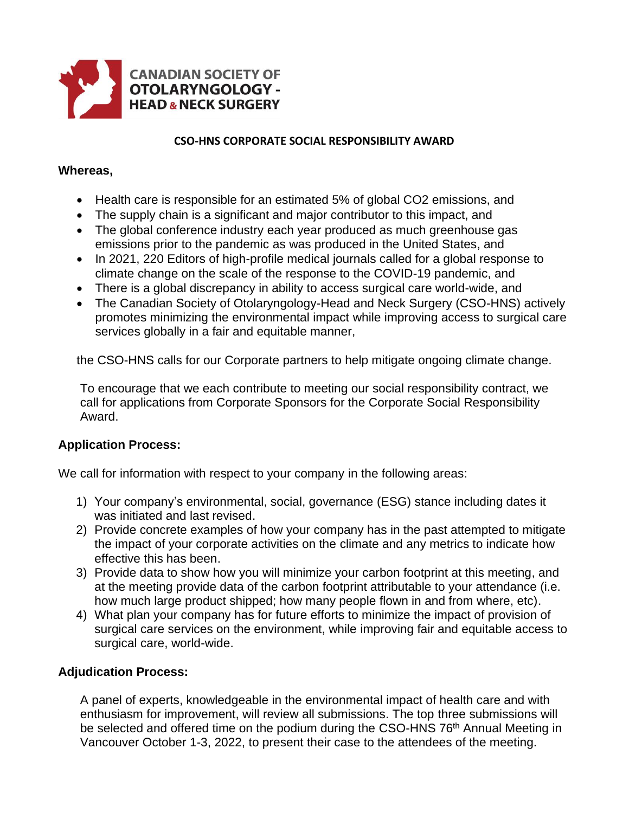

#### **CSO-HNS CORPORATE SOCIAL RESPONSIBILITY AWARD**

#### **Whereas,**

- Health care is responsible for an estimated 5% of global CO2 emissions, and
- The supply chain is a significant and major contributor to this impact, and
- The global conference industry each year produced as much greenhouse gas emissions prior to the pandemic as was produced in the United States, and
- In 2021, 220 Editors of high-profile medical journals called for a global response to climate change on the scale of the response to the COVID-19 pandemic, and
- There is a global discrepancy in ability to access surgical care world-wide, and
- The Canadian Society of Otolaryngology-Head and Neck Surgery (CSO-HNS) actively promotes minimizing the environmental impact while improving access to surgical care services globally in a fair and equitable manner,

the CSO-HNS calls for our Corporate partners to help mitigate ongoing climate change.

To encourage that we each contribute to meeting our social responsibility contract, we call for applications from Corporate Sponsors for the Corporate Social Responsibility Award.

## **Application Process:**

We call for information with respect to your company in the following areas:

- 1) Your company's environmental, social, governance (ESG) stance including dates it was initiated and last revised.
- 2) Provide concrete examples of how your company has in the past attempted to mitigate the impact of your corporate activities on the climate and any metrics to indicate how effective this has been.
- 3) Provide data to show how you will minimize your carbon footprint at this meeting, and at the meeting provide data of the carbon footprint attributable to your attendance (i.e. how much large product shipped; how many people flown in and from where, etc).
- 4) What plan your company has for future efforts to minimize the impact of provision of surgical care services on the environment, while improving fair and equitable access to surgical care, world-wide.

## **Adjudication Process:**

A panel of experts, knowledgeable in the environmental impact of health care and with enthusiasm for improvement, will review all submissions. The top three submissions will be selected and offered time on the podium during the CSO-HNS 76<sup>th</sup> Annual Meeting in Vancouver October 1-3, 2022, to present their case to the attendees of the meeting.